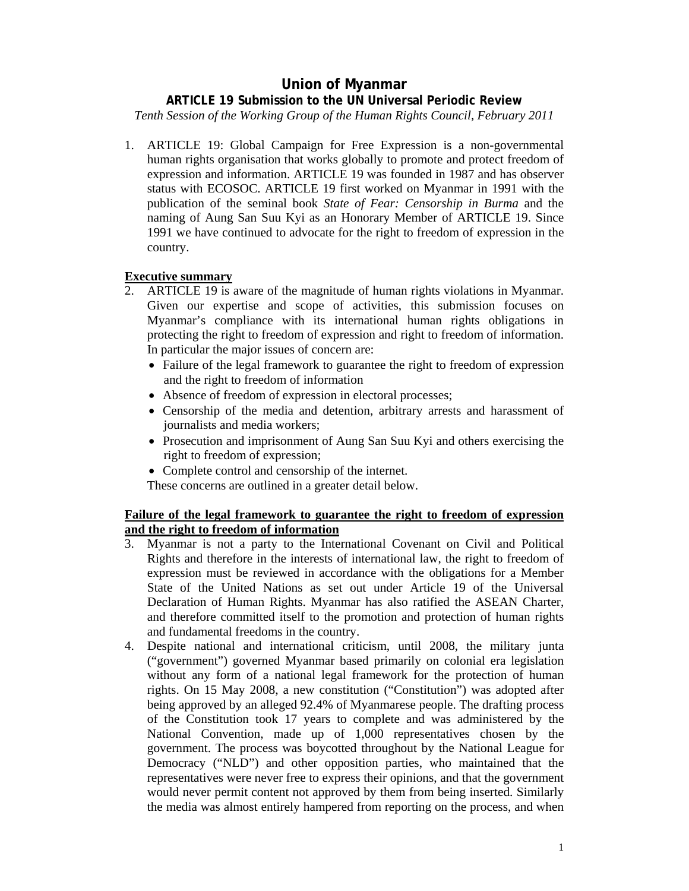# **Union of Myanmar**

## **ARTICLE 19 Submission to the UN Universal Periodic Review**

*Tenth Session of the Working Group of the Human Rights Council, February 2011* 

1. ARTICLE 19: Global Campaign for Free Expression is a non-governmental human rights organisation that works globally to promote and protect freedom of expression and information. ARTICLE 19 was founded in 1987 and has observer status with ECOSOC. ARTICLE 19 first worked on Myanmar in 1991 with the publication of the seminal book *State of Fear: Censorship in Burma* and the naming of Aung San Suu Kyi as an Honorary Member of ARTICLE 19. Since 1991 we have continued to advocate for the right to freedom of expression in the country.

## **Executive summary**

- 2. ARTICLE 19 is aware of the magnitude of human rights violations in Myanmar. Given our expertise and scope of activities, this submission focuses on Myanmar's compliance with its international human rights obligations in protecting the right to freedom of expression and right to freedom of information. In particular the major issues of concern are:
	- Failure of the legal framework to guarantee the right to freedom of expression and the right to freedom of information
	- Absence of freedom of expression in electoral processes;
	- Censorship of the media and detention, arbitrary arrests and harassment of journalists and media workers;
	- Prosecution and imprisonment of Aung San Suu Kyi and others exercising the right to freedom of expression;
	- Complete control and censorship of the internet.

These concerns are outlined in a greater detail below.

## **Failure of the legal framework to guarantee the right to freedom of expression and the right to freedom of information**

- 3. Myanmar is not a party to the International Covenant on Civil and Political Rights and therefore in the interests of international law, the right to freedom of expression must be reviewed in accordance with the obligations for a Member State of the United Nations as set out under Article 19 of the Universal Declaration of Human Rights. Myanmar has also ratified the ASEAN Charter, and therefore committed itself to the promotion and protection of human rights and fundamental freedoms in the country.
- 4. Despite national and international criticism, until 2008, the military junta ("government") governed Myanmar based primarily on colonial era legislation without any form of a national legal framework for the protection of human rights. On 15 May 2008, a new constitution ("Constitution") was adopted after being approved by an alleged 92.4% of Myanmarese people. The drafting process of the Constitution took 17 years to complete and was administered by the National Convention, made up of 1,000 representatives chosen by the government. The process was boycotted throughout by the National League for Democracy ("NLD") and other opposition parties, who maintained that the representatives were never free to express their opinions, and that the government would never permit content not approved by them from being inserted. Similarly the media was almost entirely hampered from reporting on the process, and when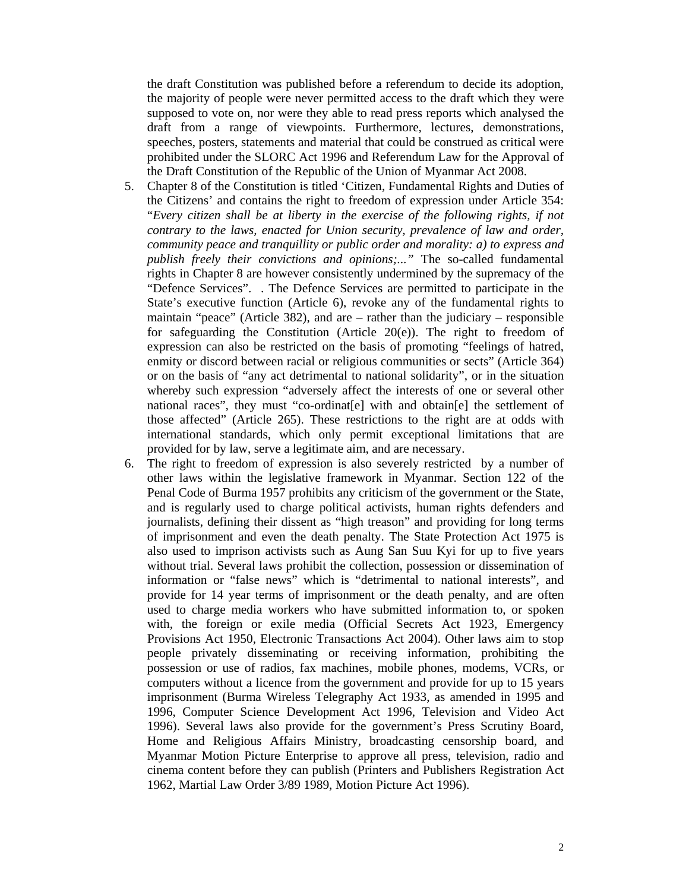the draft Constitution was published before a referendum to decide its adoption, the majority of people were never permitted access to the draft which they were supposed to vote on, nor were they able to read press reports which analysed the draft from a range of viewpoints. Furthermore, lectures, demonstrations, speeches, posters, statements and material that could be construed as critical were prohibited under the SLORC Act 1996 and Referendum Law for the Approval of the Draft Constitution of the Republic of the Union of Myanmar Act 2008.

- 5. Chapter 8 of the Constitution is titled 'Citizen, Fundamental Rights and Duties of the Citizens' and contains the right to freedom of expression under Article 354: "*Every citizen shall be at liberty in the exercise of the following rights, if not contrary to the laws, enacted for Union security, prevalence of law and order, community peace and tranquillity or public order and morality: a) to express and publish freely their convictions and opinions;..."* The so-called fundamental rights in Chapter 8 are however consistently undermined by the supremacy of the "Defence Services". . The Defence Services are permitted to participate in the State's executive function (Article 6), revoke any of the fundamental rights to maintain "peace" (Article 382), and are – rather than the judiciary – responsible for safeguarding the Constitution (Article 20(e)). The right to freedom of expression can also be restricted on the basis of promoting "feelings of hatred, enmity or discord between racial or religious communities or sects" (Article 364) or on the basis of "any act detrimental to national solidarity", or in the situation whereby such expression "adversely affect the interests of one or several other national races", they must "co-ordinat[e] with and obtain[e] the settlement of those affected" (Article 265). These restrictions to the right are at odds with international standards, which only permit exceptional limitations that are provided for by law, serve a legitimate aim, and are necessary.
- 6. The right to freedom of expression is also severely restricted by a number of other laws within the legislative framework in Myanmar. Section 122 of the Penal Code of Burma 1957 prohibits any criticism of the government or the State, and is regularly used to charge political activists, human rights defenders and journalists, defining their dissent as "high treason" and providing for long terms of imprisonment and even the death penalty. The State Protection Act 1975 is also used to imprison activists such as Aung San Suu Kyi for up to five years without trial. Several laws prohibit the collection, possession or dissemination of information or "false news" which is "detrimental to national interests", and provide for 14 year terms of imprisonment or the death penalty, and are often used to charge media workers who have submitted information to, or spoken with, the foreign or exile media (Official Secrets Act 1923, Emergency Provisions Act 1950, Electronic Transactions Act 2004). Other laws aim to stop people privately disseminating or receiving information, prohibiting the possession or use of radios, fax machines, mobile phones, modems, VCRs, or computers without a licence from the government and provide for up to 15 years imprisonment (Burma Wireless Telegraphy Act 1933, as amended in 1995 and 1996, Computer Science Development Act 1996, Television and Video Act 1996). Several laws also provide for the government's Press Scrutiny Board, Home and Religious Affairs Ministry, broadcasting censorship board, and Myanmar Motion Picture Enterprise to approve all press, television, radio and cinema content before they can publish (Printers and Publishers Registration Act 1962, Martial Law Order 3/89 1989, Motion Picture Act 1996).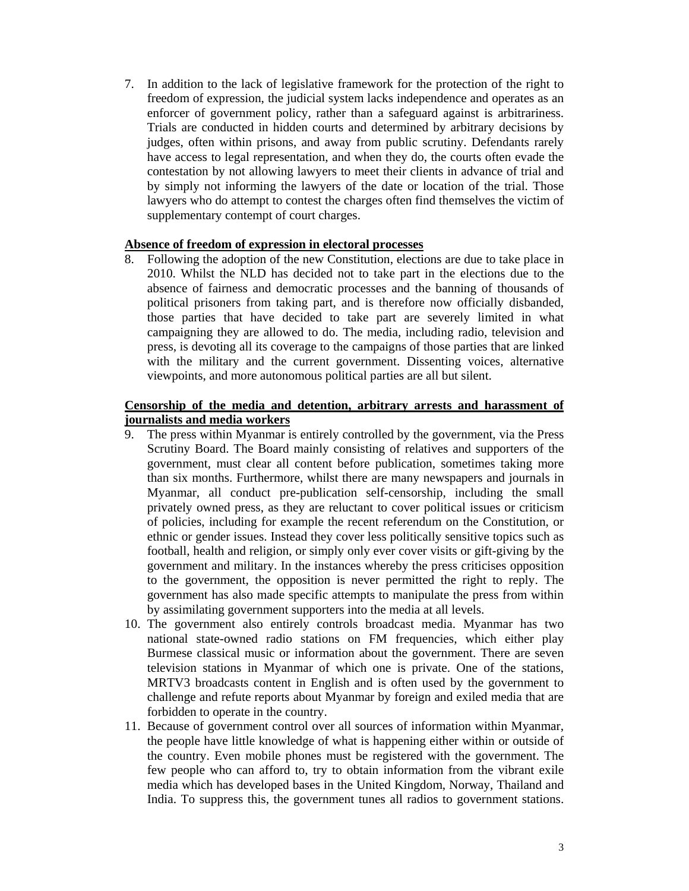7. In addition to the lack of legislative framework for the protection of the right to freedom of expression, the judicial system lacks independence and operates as an enforcer of government policy, rather than a safeguard against is arbitrariness. Trials are conducted in hidden courts and determined by arbitrary decisions by judges, often within prisons, and away from public scrutiny. Defendants rarely have access to legal representation, and when they do, the courts often evade the contestation by not allowing lawyers to meet their clients in advance of trial and by simply not informing the lawyers of the date or location of the trial. Those lawyers who do attempt to contest the charges often find themselves the victim of supplementary contempt of court charges.

#### **Absence of freedom of expression in electoral processes**

8. Following the adoption of the new Constitution, elections are due to take place in 2010. Whilst the NLD has decided not to take part in the elections due to the absence of fairness and democratic processes and the banning of thousands of political prisoners from taking part, and is therefore now officially disbanded, those parties that have decided to take part are severely limited in what campaigning they are allowed to do. The media, including radio, television and press, is devoting all its coverage to the campaigns of those parties that are linked with the military and the current government. Dissenting voices, alternative viewpoints, and more autonomous political parties are all but silent.

## **Censorship of the media and detention, arbitrary arrests and harassment of journalists and media workers**

- 9. The press within Myanmar is entirely controlled by the government, via the Press Scrutiny Board. The Board mainly consisting of relatives and supporters of the government, must clear all content before publication, sometimes taking more than six months. Furthermore, whilst there are many newspapers and journals in Myanmar, all conduct pre-publication self-censorship, including the small privately owned press, as they are reluctant to cover political issues or criticism of policies, including for example the recent referendum on the Constitution, or ethnic or gender issues. Instead they cover less politically sensitive topics such as football, health and religion, or simply only ever cover visits or gift-giving by the government and military. In the instances whereby the press criticises opposition to the government, the opposition is never permitted the right to reply. The government has also made specific attempts to manipulate the press from within by assimilating government supporters into the media at all levels.
- 10. The government also entirely controls broadcast media. Myanmar has two national state-owned radio stations on FM frequencies, which either play Burmese classical music or information about the government. There are seven television stations in Myanmar of which one is private. One of the stations, MRTV3 broadcasts content in English and is often used by the government to challenge and refute reports about Myanmar by foreign and exiled media that are forbidden to operate in the country.
- 11. Because of government control over all sources of information within Myanmar, the people have little knowledge of what is happening either within or outside of the country. Even mobile phones must be registered with the government. The few people who can afford to, try to obtain information from the vibrant exile media which has developed bases in the United Kingdom, Norway, Thailand and India. To suppress this, the government tunes all radios to government stations.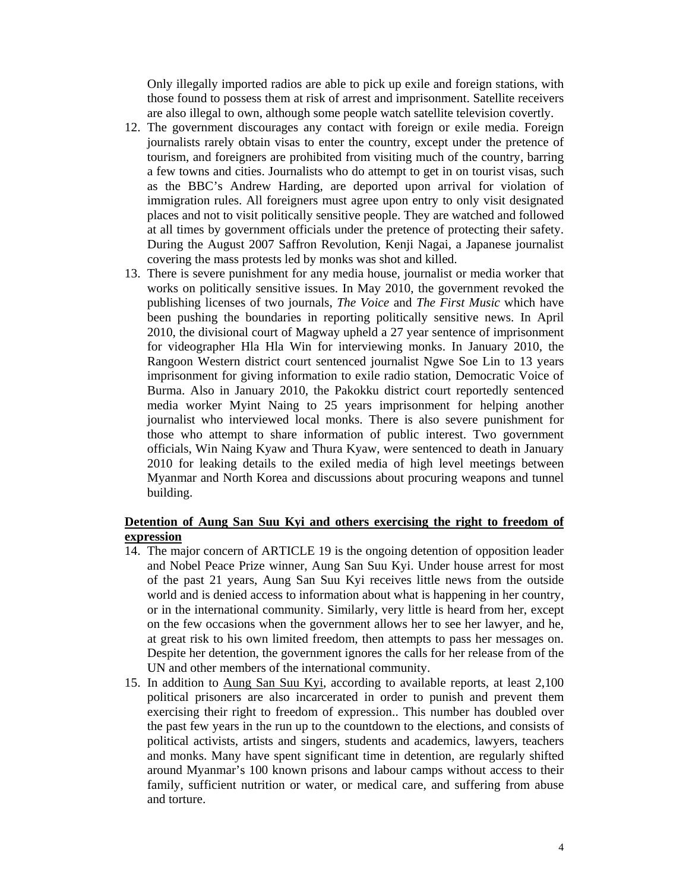Only illegally imported radios are able to pick up exile and foreign stations, with those found to possess them at risk of arrest and imprisonment. Satellite receivers are also illegal to own, although some people watch satellite television covertly.

- 12. The government discourages any contact with foreign or exile media. Foreign journalists rarely obtain visas to enter the country, except under the pretence of tourism, and foreigners are prohibited from visiting much of the country, barring a few towns and cities. Journalists who do attempt to get in on tourist visas, such as the BBC's Andrew Harding, are deported upon arrival for violation of immigration rules. All foreigners must agree upon entry to only visit designated places and not to visit politically sensitive people. They are watched and followed at all times by government officials under the pretence of protecting their safety. During the August 2007 Saffron Revolution, Kenji Nagai, a Japanese journalist covering the mass protests led by monks was shot and killed.
- 13. There is severe punishment for any media house, journalist or media worker that works on politically sensitive issues. In May 2010, the government revoked the publishing licenses of two journals, *The Voice* and *The First Music* which have been pushing the boundaries in reporting politically sensitive news. In April 2010, the divisional court of Magway upheld a 27 year sentence of imprisonment for videographer Hla Hla Win for interviewing monks. In January 2010, the Rangoon Western district court sentenced journalist Ngwe Soe Lin to 13 years imprisonment for giving information to exile radio station, Democratic Voice of Burma. Also in January 2010, the Pakokku district court reportedly sentenced media worker Myint Naing to 25 years imprisonment for helping another journalist who interviewed local monks. There is also severe punishment for those who attempt to share information of public interest. Two government officials, Win Naing Kyaw and Thura Kyaw, were sentenced to death in January 2010 for leaking details to the exiled media of high level meetings between Myanmar and North Korea and discussions about procuring weapons and tunnel building.

## **Detention of Aung San Suu Kyi and others exercising the right to freedom of expression**

- 14. The major concern of ARTICLE 19 is the ongoing detention of opposition leader and Nobel Peace Prize winner, Aung San Suu Kyi. Under house arrest for most of the past 21 years, Aung San Suu Kyi receives little news from the outside world and is denied access to information about what is happening in her country, or in the international community. Similarly, very little is heard from her, except on the few occasions when the government allows her to see her lawyer, and he, at great risk to his own limited freedom, then attempts to pass her messages on. Despite her detention, the government ignores the calls for her release from of the UN and other members of the international community.
- 15. In addition to Aung San Suu Kyi, according to available reports, at least 2,100 political prisoners are also incarcerated in order to punish and prevent them exercising their right to freedom of expression.. This number has doubled over the past few years in the run up to the countdown to the elections, and consists of political activists, artists and singers, students and academics, lawyers, teachers and monks. Many have spent significant time in detention, are regularly shifted around Myanmar's 100 known prisons and labour camps without access to their family, sufficient nutrition or water, or medical care, and suffering from abuse and torture.